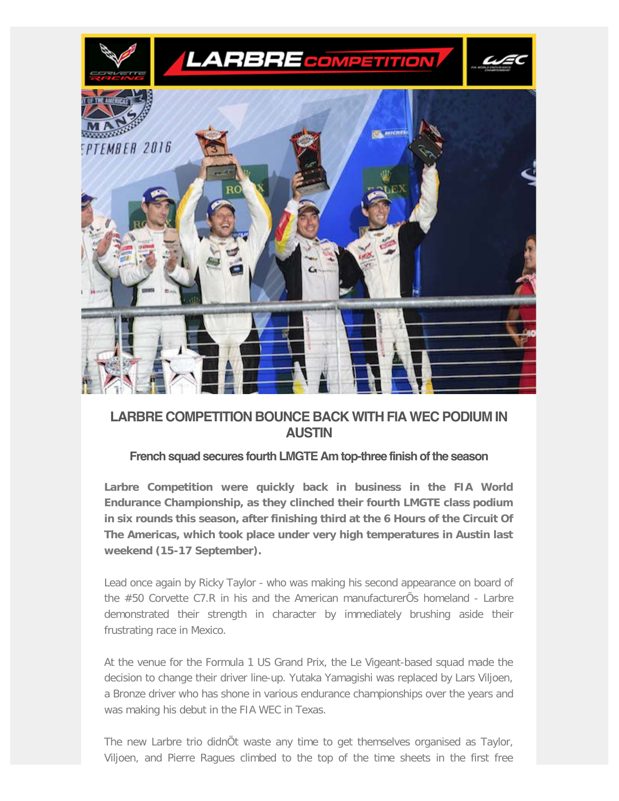

# **LARBRE COMPETITION BOUNCE BACK WITH FIA WEC PODIUM IN AUSTIN**

### **French squad secures fourth LMGTE Am top-three finish of the season**

**Larbre Competition were quickly back in business in the FIA World Endurance Championship, as they clinched their fourth LMGTE class podium in six rounds this season, after finishing third at the 6 Hours of the Circuit Of The Americas, which took place under very high temperatures in Austin last weekend (15-17 September).**

Lead once again by Ricky Taylor - who was making his second appearance on board of the #50 Corvette C7.R in his and the American manufacturerÕs homeland - Larbre demonstrated their strength in character by immediately brushing aside their frustrating race in Mexico.

At the venue for the Formula 1 US Grand Prix, the Le Vigeant-based squad made the decision to change their driver line-up. Yutaka Yamagishi was replaced by Lars Viljoen, a Bronze driver who has shone in various endurance championships over the years and was making his debut in the FIA WEC in Texas.

The new Larbre trio didnÕt waste any time to get themselves organised as Taylor, Viljoen, and Pierre Ragues climbed to the top of the time sheets in the first free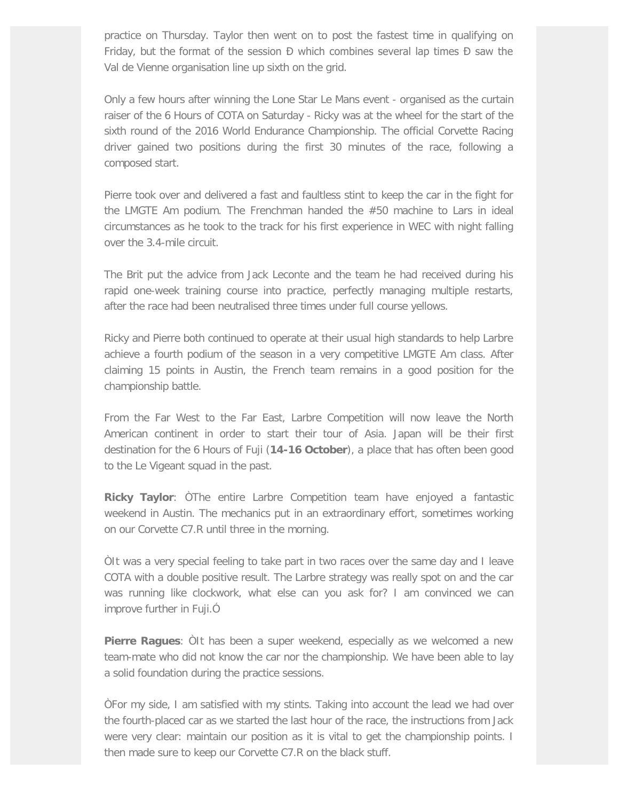practice on Thursday. Taylor then went on to post the fastest time in qualifying on Friday, but the format of the session  $\overline{D}$  which combines several lap times  $\overline{D}$  saw the Val de Vienne organisation line up sixth on the grid.

Only a few hours after winning the Lone Star Le Mans event - organised as the curtain raiser of the 6 Hours of COTA on Saturday - Ricky was at the wheel for the start of the sixth round of the 2016 World Endurance Championship. The official Corvette Racing driver gained two positions during the first 30 minutes of the race, following a composed start.

Pierre took over and delivered a fast and faultless stint to keep the car in the fight for the LMGTE Am podium. The Frenchman handed the #50 machine to Lars in ideal circumstances as he took to the track for his first experience in WEC with night falling over the 3.4-mile circuit.

The Brit put the advice from Jack Leconte and the team he had received during his rapid one-week training course into practice, perfectly managing multiple restarts, after the race had been neutralised three times under full course yellows.

Ricky and Pierre both continued to operate at their usual high standards to help Larbre achieve a fourth podium of the season in a very competitive LMGTE Am class. After claiming 15 points in Austin, the French team remains in a good position for the championship battle.

From the Far West to the Far East, Larbre Competition will now leave the North American continent in order to start their tour of Asia. Japan will be their first destination for the 6 Hours of Fuji (**14-16 October**), a place that has often been good to the Le Vigeant squad in the past.

**Ricky Taylor**: ÒThe entire Larbre Competition team have enjoyed a fantastic weekend in Austin. The mechanics put in an extraordinary effort, sometimes working on our Corvette C7.R until three in the morning.

ÒIt was a very special feeling to take part in two races over the same day and I leave COTA with a double positive result. The Larbre strategy was really spot on and the car was running like clockwork, what else can you ask for? I am convinced we can improve further in Fuji.Ó

**Pierre Ragues**: ÒIt has been a super weekend, especially as we welcomed a new team-mate who did not know the car nor the championship. We have been able to lay a solid foundation during the practice sessions.

ÒFor my side, I am satisfied with my stints. Taking into account the lead we had over the fourth-placed car as we started the last hour of the race, the instructions from Jack were very clear: maintain our position as it is vital to get the championship points. I then made sure to keep our Corvette C7.R on the black stuff.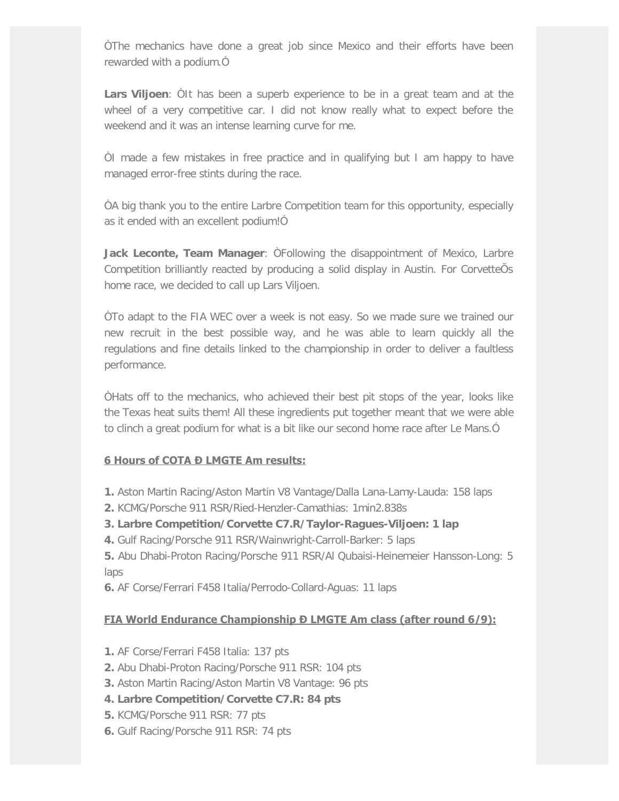ÒThe mechanics have done a great job since Mexico and their efforts have been rewarded with a podium.Ó

**Lars Viljoen**: ÒIt has been a superb experience to be in a great team and at the wheel of a very competitive car. I did not know really what to expect before the weekend and it was an intense learning curve for me.

ÒI made a few mistakes in free practice and in qualifying but I am happy to have managed error-free stints during the race.

ÒA big thank you to the entire Larbre Competition team for this opportunity, especially as it ended with an excellent podium!Ó

**Jack Leconte, Team Manager**: ÒFollowing the disappointment of Mexico, Larbre Competition brilliantly reacted by producing a solid display in Austin. For CorvetteÕs home race, we decided to call up Lars Viljoen.

ÒTo adapt to the FIA WEC over a week is not easy. So we made sure we trained our new recruit in the best possible way, and he was able to learn quickly all the regulations and fine details linked to the championship in order to deliver a faultless performance.

ÒHats off to the mechanics, who achieved their best pit stops of the year, looks like the Texas heat suits them! All these ingredients put together meant that we were able to clinch a great podium for what is a bit like our second home race after Le Mans.Ó

### **6 Hours of COTA Đ LMGTE Am results:**

- **1.** Aston Martin Racing/Aston Martin V8 Vantage/Dalla Lana-Lamy-Lauda: 158 laps
- **2.** KCMG/Porsche 911 RSR/Ried-Henzler-Camathias: 1min2.838s
- **3. Larbre Competition/Corvette C7.R/Taylor-Ragues-Viljoen: 1 lap**
- **4.** Gulf Racing/Porsche 911 RSR/Wainwright-Carroll-Barker: 5 laps

**5.** Abu Dhabi-Proton Racing/Porsche 911 RSR/Al Qubaisi-Heinemeier Hansson-Long: 5 laps

**6.** AF Corse/Ferrari F458 Italia/Perrodo-Collard-Aguas: 11 laps

## **FIA World Endurance Championship D LMGTE Am class (after round 6/9):**

- **1.** AF Corse/Ferrari F458 Italia: 137 pts
- **2.** Abu Dhabi-Proton Racing/Porsche 911 RSR: 104 pts
- **3.** Aston Martin Racing/Aston Martin V8 Vantage: 96 pts
- **4. Larbre Competition/Corvette C7.R: 84 pts**
- **5.** KCMG/Porsche 911 RSR: 77 pts
- **6.** Gulf Racing/Porsche 911 RSR: 74 pts